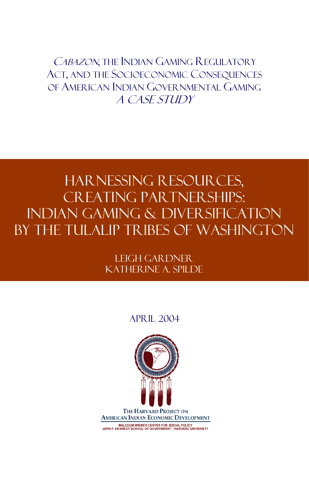CABAZON, THE INDIAN GAMING REGULATORY ACT, AND THE SOCIOECONOMIC CONSEQUENCES OF AMERICAN INDIAN GOVERNMENTAL GAMING A Case Study

# Harnessing Resources, CREATING PARTNER SHIPS: Indian Gaming & Diversification by the Tulalip Tribes of Washington

Leigh Gardner Katherine A. Spilde

### April 2004



MALCOLM WIENER CENTER FOR SOCIAL POLICY<br>JOHN F. KENNEDY SCHOOL OF GOVERNMENT - HARVARD UNIVERSITY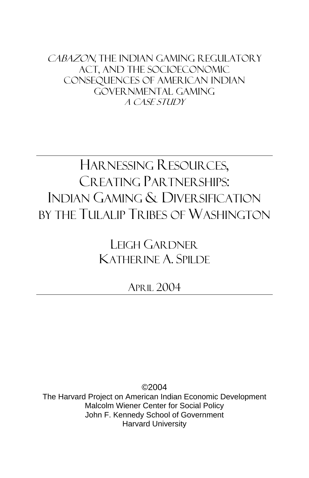CABAZON, THE INDIAN GAMING REGULATORY Act, and the Socioeconomic Consequences of American Indian Governmental Gaming A Case Study

# HARNESSING RESOURCES, CREATING PARTNER SHIPS: INDIAN GAMING & DIVERSIFICATION BY THE TULALIP TRIBES OF WASHINGTON

LEIGH GARDNER KATHERINE A. SPILDE

APRIL 2004

©2004 The Harvard Project on American Indian Economic Development Malcolm Wiener Center for Social Policy John F. Kennedy School of Government Harvard University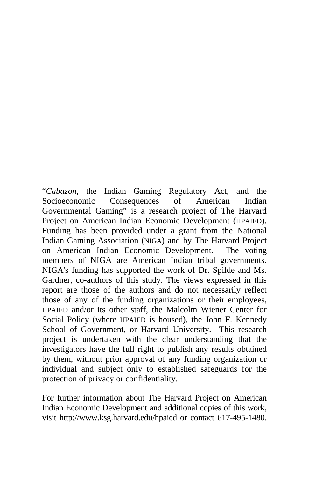"*Cabazon*, the Indian Gaming Regulatory Act, and the Socioeconomic Consequences of American Indian Governmental Gaming" is a research project of The Harvard Project on American Indian Economic Development (HPAIED). Funding has been provided under a grant from the National Indian Gaming Association (NIGA) and by The Harvard Project on American Indian Economic Development. The voting members of NIGA are American Indian tribal governments. NIGA's funding has supported the work of Dr. Spilde and Ms. Gardner, co-authors of this study. The views expressed in this report are those of the authors and do not necessarily reflect those of any of the funding organizations or their employees, HPAIED and/or its other staff, the Malcolm Wiener Center for Social Policy (where HPAIED is housed), the John F. Kennedy School of Government, or Harvard University. This research project is undertaken with the clear understanding that the investigators have the full right to publish any results obtained by them, without prior approval of any funding organization or individual and subject only to established safeguards for the protection of privacy or confidentiality.

For further information about The Harvard Project on American Indian Economic Development and additional copies of this work, visit http://www.ksg.harvard.edu/hpaied or contact 617-495-1480.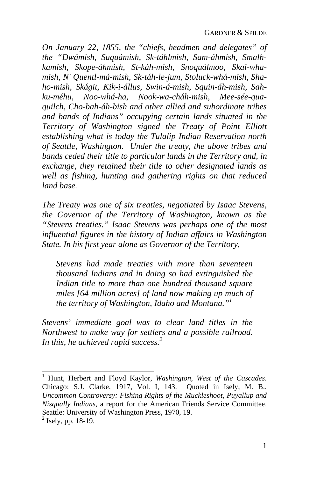*On January 22, 1855, the "chiefs, headmen and delegates" of the "Dwámish, Suquámish, Sk-táhlmish, Sam-áhmish, Smalhkamish, Skope-áhmish, St-káh-mish, Snoquálmoo, Skai-whamish, N' Quentl-má-mish, Sk-táh-le-jum, Stoluck-whá-mish, Shaho-mish, Skágit, Kik-i-állus, Swin-á-mish, Squin-áh-mish, Sahku-méhu, Noo-whá-ha, Nook-wa-cháh-mish, Mee-sée-quaquilch, Cho-bah-áh-bish and other allied and subordinate tribes and bands of Indians" occupying certain lands situated in the Territory of Washington signed the Treaty of Point Elliott establishing what is today the Tulalip Indian Reservation north of Seattle, Washington. Under the treaty, the above tribes and bands ceded their title to particular lands in the Territory and, in exchange, they retained their title to other designated lands as well as fishing, hunting and gathering rights on that reduced land base.* 

*The Treaty was one of six treaties, negotiated by Isaac S[te](#page-4-0)vens, the Governor of the Territory of Washington, known as the "Stevens treaties." Isaac Stevens was perhaps one of the most influential figures in the history of Indian affairs in Washington State. In his first year alone as Governor of the Territory,* 

*Stevens had made treaties with more than seventeen thousand Indians and in doing so had extinguished the Indian title to more than one hundred thousand square miles [64 million acres] of land now making up much of the territory of Washington, Idaho and Montana."1*

*Stevens' immediate goal was to clear land titles in the Northwest to make way for settlers and a possible railroad. In this, he achieved rapid success. 2*

<span id="page-4-0"></span> 1 Hunt, Herbert and Floyd Kaylor, *Washington, West of the Cascades*. Chicago: S.J. Clarke, 1917, Vol. I, 143. Quoted in Isely, M. B., *Uncommon Controversy: Fishing Rights of the Muckleshoot, Puyallup and Nisqually Indians*, a report for the American Friends Service Committee. Seattle: University of Washington Press, 1970, 19.  $<sup>2</sup>$  Isely, pp. 18-19.</sup>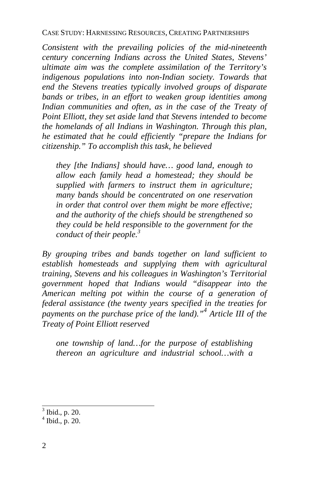*Consistent with the prevailing policies of the mid-nineteenth century concerning Indians across the United States, Stevens' ultimate aim was the complete assimilation of the Territory's indigenous populations into non-Indian society. Towards that end the Stevens treaties typically involved groups of disparate bands or tribes, in an effort to weaken group ide[nti](#page-5-0)ties among Indian communities and often, as in the case of the Treaty of Point Elliott, they set aside land that Stevens intended to become the homelands of all Indians in Washington. Through this plan, he estimated that he could efficiently "prepare the Indians for citizenship." To accomplish this task, he believed* 

*they [the Indians] should have… good land, enough to allow each family head a homestead; they should be supplied with farmers to instruct them in agriculture; many bands should be concentrated on one reservation in order that control over them might be more effective; and the authority of the chiefs should be strengthened so they could be held responsible to the government for the conduct of their people.<sup>3</sup>*

*By grouping tribes and bands together on land sufficient to establish homesteads and supplying them with agricultural training, Stevens and his colleagues in Washington's Territorial government hoped that Indians would "disappear into the American melting pot within the course of a generation of federal assistance (the twenty years specified in the treaties for payments on the purchase price of the land)."<sup>4</sup> Article III of the Treaty of Point Elliott reserved* 

*one township of land…for the purpose of establishing thereon an agriculture and industrial school…with a* 

<span id="page-5-0"></span> 3 Ibid., p. 20.

 $4$  Ibid., p. 20.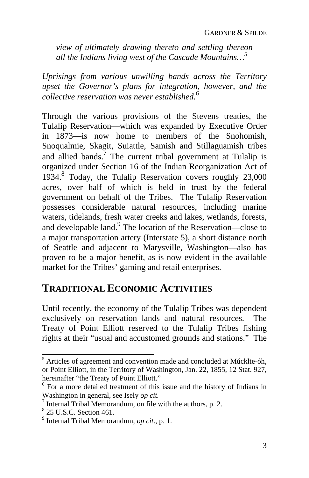*view of ultimately drawing thereto and settling thereon all the Indians living west of the Cascade Mountains…5* 

*Uprisings from various unwilling bands across the Territory upset the Governor's plans for integration, [h](#page-6-0)owever, and the collective reservation was never established.6* 

Through the various provisions of the Stevens treaties, the Tulalip Reservation—which was expanded by Executive Order in 1873—is now home to members of the Snohomish, Snoqualmie, Skagit, Suiattle, Samish and Stillaguamish tribes and allied bands.<sup>7</sup> The current tribal government at Tulalip is organized under Section 16 of the Indian Reorganization Act of 1934. 8 Today, the Tulalip Reservation covers roughly 23,000 acres, over half of which is held in trust by the federal government on behalf of the Tribes. The Tulalip Reservation possesses considerable natural resources, including marine waters, tidelands, fresh water creeks and lakes, wetlands, forests, and developable land.<sup>9</sup> The location of the Reservation—close to a major transportation artery (Interstate 5), a short distance north of Seattle and adjacent to Marysville, Washington—also has proven to be a major benefit, as is now evident in the available market for the Tribes' gaming and retail enterprises.

## **TRADITIONAL ECONOMIC ACTIVITIES**

Until recently, the economy of the Tulalip Tribes was dependent exclusively on reservation lands and natural resources. The Treaty of Point Elliott reserved to the Tulalip Tribes fishing rights at their "usual and accustomed grounds and stations." The

 5 Articles of agreement and convention made and concluded at Múcklte-óh, or Point Elliott, in the Territory of Washington, Jan. 22, 1855, 12 Stat. 927, hereinafter "the Treaty of Point Elliott."

 $6$  For a more detailed treatment of this issue and the history of Indians in Washington in general, see Isely *op cit.* <sup>7</sup>

 $\frac{1}{1}$  Internal Tribal Memorandum, on file with the authors, p. 2.

 $8$  25 U.S.C. Section 461.

<span id="page-6-0"></span><sup>&</sup>lt;sup>9</sup> Internal Tribal Memorandum, *op cit.*, p. 1.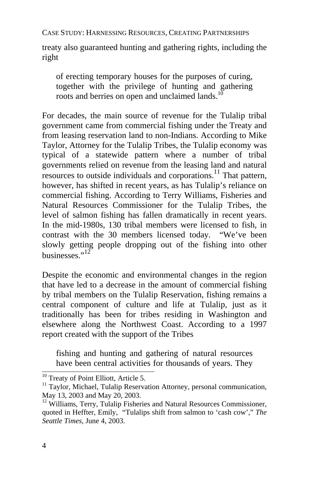treaty also guaranteed hunting and gathering rights, including the right

of erecting temporary houses for the purposes of curing, together with the privilege of hunting and gathering roots and berries on open and unclaimed lands.<sup>1</sup>

For decades, the main source of r[even](#page-7-0)ue for the Tulalip tribal government came from commercial fishing under the Treaty and from leasing reservation land to non-Indians. According to Mike Taylor, Attorney for the Tulalip Tribes, the Tulalip economy was typical of a statewide pattern where a number of tribal governments relied on revenue from the leasing land and natural resources to outside individuals and corporations.<sup>11</sup> That pattern, however, has shifted in recent years, as has Tulalip's reliance on commercial fishing. According to Terry Williams, Fisheries and Natural Resources Commissioner for the Tulalip Tribes, the level of salmon fishing has fallen dramatically in recent years. In the mid-1980s, 130 tribal members were licensed to fish, in contrast with the 30 members licensed today. "We've been slowly getting people dropping out of the fishing into other businesses." $12$ 

Despite the economic and environmental changes in the region that have led to a decrease in the amount of commercial fishing by tribal members on the Tulalip Reservation, fishing remains a central component of culture and life at Tulalip, just as it traditionally has been for tribes residing in Washington and elsewhere along the Northwest Coast. According to a 1997 report created with the support of the Tribes

fishing and hunting and gathering of natural resources have been central activities for thousands of years. They

<sup>&</sup>lt;sup>10</sup> Treaty of Point Elliott, Article 5.<br><sup>11</sup> Taylor, Michael, Tulalip Reservation Attorney, personal communication, May 13, 2003 and May 20, 2003.

<span id="page-7-0"></span><sup>&</sup>lt;sup>12</sup> Williams, Terry, Tulalip Fisheries and Natural Resources Commissioner, quoted in Heffter, Emily, "Tulalips shift from salmon to 'cash cow'," *The Seattle Times*, June 4, 2003.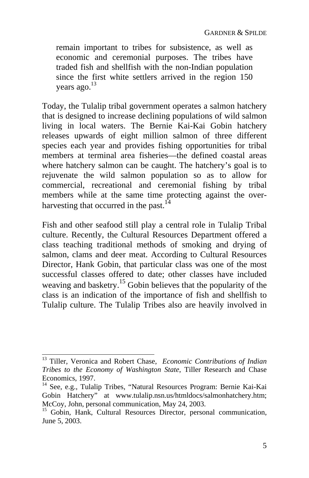remain important to tribes for subsistence, as well as economic and ceremonial purposes. The tribes have traded fish and shellfish with the non-Indian populatio[n](#page-8-0)  since the first white settlers arrived in the region 150 years ago.<sup>13</sup>

Today, the Tulalip tribal government operates a salmon hatchery that is designed to increase declining populations of wild salmon living in local waters. The Bernie Kai-Kai Gobin hatchery releases upwards of eight million salmon of three different species each year and provides fishing oppo[rtu](#page-8-1)nities for tribal members at terminal area fisheries—the defined coastal areas where hatchery salmon can be caught. The hatchery's goal is to rejuvenate the wild salmon population so as to allow for commercial, recreational and ceremonial fishing by tribal members while at the same time protecting against the overharvesting that occurred in the past. $1/4$ 

Fish and other seafood still play a central role in Tulalip Tribal culture. Recently, the Cultural Resources Department offered a class teaching traditional methods of smoking and drying of salmon, clams and deer meat. According to Cultural Resources Director, Hank Gobin, that particular class was one of the most successful classes offered to date; other classes have included weaving and basketry.<sup>15</sup> Gobin believes that the popularity of the class is an indication of the importance of fish and shellfish to Tulalip culture. The Tulalip Tribes also are heavily involved in

 13 Tiller, Veronica and Robert Chase, *Economic Contributions of Indian Tribes to the Economy of Washington State*, Tiller Research and Chase Economics, 1997.<br><sup>14</sup> See, e.g., Tulalip Tribes, "Natural Resources Program: Bernie Kai-Kai

<span id="page-8-0"></span>Gobin Hatchery" at www.tulalip.nsn.us/htmldocs/salmonhatchery.htm; McCoy, John, personal communication, May 24, 2003.<br><sup>15</sup> Gobin, Hank, Cultural Resources Director, personal communication,

<span id="page-8-1"></span>June 5, 2003.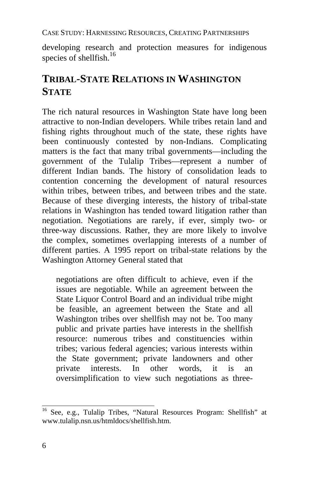developing research and protection measures for indigenous species of shellfish.<sup>16</sup>

## **TRIBAL-STATE RELATIONS IN WASHINGTON STATE**

The rich natural resources in Washington State have long been attractive to non-Indian developers. While tribes retain land and fishing rights throughout much of the state, these rights have been continuously contested by non-Indians. Complicating matters is the fact that many tribal governments—including the government of the Tulalip Tribes—represent a number of different Indian bands. The history of consolidation leads to contention concerning the development of natural resources within tribes, between tribes, and between tribes and the state. Because of these diverging interests, the history of tribal-state relations in Washington has tended toward litigation rather than negotiation. Negotiations are rarely, if ever, simply two- or three-way discussions. Rather, they are more likely to involve the complex, sometimes overlapping interests of a number of different parties. A 1995 report on tribal-state relations by the Washington Attorney General stated that

negotiations are often difficult to achieve, even if the issues are negotiable. While an agreement between the State Liquor Control Board and an individual tribe might be feasible, an agreement between the State and all Washington tribes over shellfish may not be. Too many public and private parties have interests in the shellfish resource: numerous tribes and constituencies within tribes; various federal agencies; various interests within the State government; private landowners and other private interests. In other words, it is an oversimplification to view such negotiations as three-

<sup>&</sup>lt;sup>16</sup> See, e.g., Tulalip Tribes, "Natural Resources Program: Shellfish" at www.tulalip.nsn.us/htmldocs/shellfish.htm.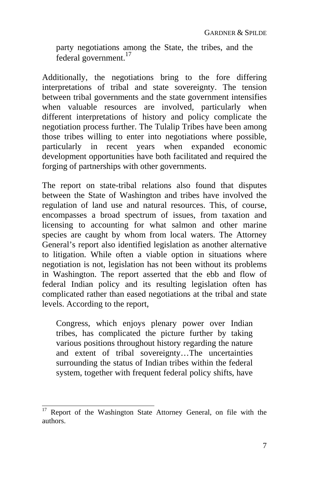party negotiations among the State, the tribes, and the federal government.17

Additionally, the negotiations bring to the fore differing interpretations of tribal and state sovereignty. The tension between tribal governments and the state government intensifies when valuable resources are involved, particularly when different interpretations of history and policy complicate the negotiation process further. The Tulalip Tribes have been among those tribes willing to enter into negotiations where possible, particularly in recent years when expanded economic development opportunities have both facilitated and required the forging of partnerships with other governments.

The report on state-tribal relations also found that disputes between the State of Washington and tribes have involved the regulation of land use and natural resources. This, of course, encompasses a broad spectrum of issues, from taxation and licensing to accounting for what salmon and other marine species are caught by whom from local waters. The Attorney General's report also identified legislation as another alternative to litigation. While often a viable option in situations where negotiation is not, legislation has not been without its problems in Washington. The report asserted that the ebb and flow of federal Indian policy and its resulting legislation often has complicated rather than eased negotiations at the tribal and state levels. According to the report,

Congress, which enjoys plenary power over Indian tribes, has complicated the picture further by taking various positions throughout history regarding the nature and extent of tribal sovereignty…The uncertainties surrounding the status of Indian tribes within the federal system, together with frequent federal policy shifts, have

 $\overline{a}$ 

<sup>17</sup> Report of the Washington State Attorney General, on file with the authors.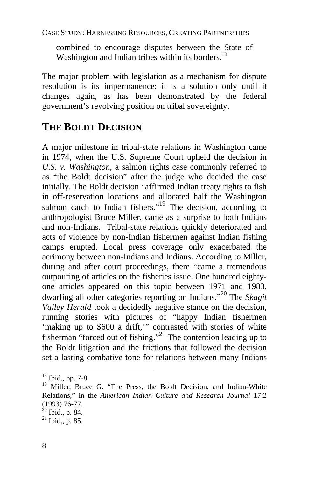combined to encourage disputes between the State of Washington and Indian tribes within its borders.<sup>18</sup>

The major problem with legislation as a mechanism for dispute resolution is its impermanence; it is a solution only until it changes again, as has been demonstrated by the federal government's revolving position on tribal sovereignty.

## **THE BOLDT DECISION**

A major milestone in tribal-state relations in Washington came in 1974, when the U.S. Supreme Court upheld the decision in *U.S. v. Washington*, a salmon rights case commonly referred to as "the Boldt decision" after the judge who decided the case initially. The Boldt decision "affirmed Indian treaty rights to fish in off-reservation locations and allocated half the Was[hing](#page-11-0)ton salmon catch to Indian fishers."<sup>19</sup> The decision, according to anthropologist Bruce Miller, came as a surprise to both Indians and non-Indians. Tribal-state relations quickly deteriorated and acts of violence by non-Indian fishermen against Indian fishing camps erupted. Local press coverage only exacerbated the acrimony between non-Indians and Indians. According to Miller, during and after court proceedings, there "came a tremendous outpouring of articles on the fisheries issue. One hundred eightyone articles appeared on this topic between 1971 and 1983, dwarfing all other categories reporting on Indians."20 The *Skagit Valley Herald* took a decidedly negative stance on the decision, running stories with pictures of "happy Indian fishermen 'making up to \$600 a drift,'" contrasted with stories of white fisherman "forced out of fishing."<sup>21</sup> The contention leading up to the Boldt litigation and the frictions that followed the decision set a lasting combative tone for relations between many Indians

 $18$  Ibid., pp. 7-8.

<sup>&</sup>lt;sup>19</sup> Miller, Bruce G. "The Press, the Boldt Decision, and Indian-White Relations," in the *American Indian Culture and Research Journal* 17:2 (1993) 76-77.

<sup>&</sup>lt;sup>20</sup> Ibid., p. 84.<br><sup>21</sup> Ibid., p. 85.

<span id="page-11-0"></span>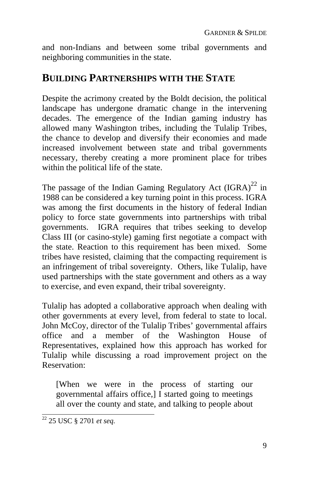and non-Indians and between some tribal governments and neighboring communities in the state.

### **BUILDING PARTNERSHIPS WITH THE STATE**

Despite the acrimony created by the Boldt decision, the political landscape has undergone dramatic change in the intervening decades. The emergence of the Indian gaming industry has allowed many Washington tribes, including the Tulalip Tribes, the chance to develop and diversify their economies and made increased involvement between state and tribal governments necessary, thereby creating a more prominent place for tribes within the political life of the state.

The passage of the Indian Gaming Regulatory Act  $(GRA)^{22}$  in 1988 can be considered a key turning point in this process. IGRA was among the first documents in the history of federal Indian policy to force state governments into partnerships with tribal governments. IGRA requires that tribes seeking to develop Class III (or casino-style) gaming first negotiate a compact with the state. Reaction to this requirement has been mixed. Some tribes have resisted, claiming that the compacting requirement is an infringement of tribal sovereignty. Others, like Tulalip, have used partnerships with the state government and others as a way to exercise, and even expand, their tribal sovereignty.

Tulalip has adopted a collaborative approach when dealing with other governments at every level, from federal to state to local. John McCoy, director of the Tulalip Tribes' governmental affairs office and a member of the Washington House of Representatives, explained how this approach has worked for Tulalip while discussing a road improvement project on the Reservation:

[When we were in the process of starting our governmental affairs office,] I started going to meetings all over the county and state, and talking to people about

<sup>22 25</sup> USC § 2701 *et seq.*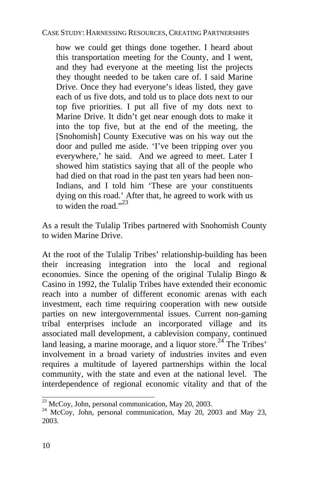how we could get things done together. I heard about this transportation meeting for the County, and I went, and they had everyone at the meeting lis[t th](#page-13-0)e projects they thought needed to be taken care of. I said Marine Drive. Once they had everyone's ideas listed, they gave each of us five dots, and told us to place dots next to our top five priorities. I put all five of my dots next to Marine Drive. It didn't get near enough dots to make it into the top five, but at the end of the meeting, the [Snohomish] County Executive was on his way out the door and pulled me aside. 'I've been tripping over you everywhere,' he said. And we agreed to meet. Later I showed him statistics saying that all of the people who had died on that road in the past ten years had been non-Indians, and I told him 'These are your constituents dying on this road.' After that, he agreed to work with us to widen the road." $^{23}$ 

As a result the Tulalip Tribes partnered with Snohomish County to widen Marine Drive.

At the root of the Tulalip Tribes' relationship-building has been their increasing integration into the local and regional economies. Since the opening of the original Tulalip Bingo & Casino in 1992, the Tulalip Tribes have extended their economic reach into a number of different economic arenas with each investment, each time requiring cooperation with new outside parties on new intergovernmental issues. Current non-gaming tribal enterprises include an incorporated village and its associated mall development, a cablevision company, continued land leasing, a marine moorage, and a liquor store.<sup>24</sup> The Tribes' involvement in a broad variety of industries invites and even requires a multitude of layered partnerships within the local community, with the state and even at the national level. The interdependence of regional economic vitality and that of the

<span id="page-13-0"></span><sup>&</sup>lt;sup>23</sup> McCoy, John, personal communication, May 20, 2003.

<sup>&</sup>lt;sup>24</sup> McCoy, John, personal communication, May 20, 2003 and May 23, 2003.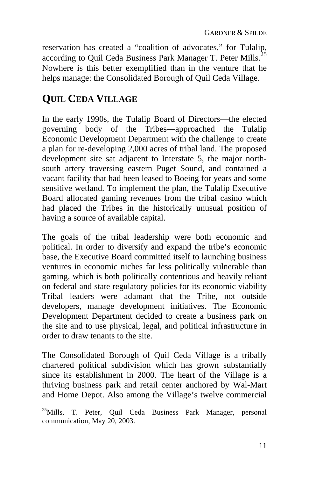reservation has created a "coalition of advocates," for Tulalip, according to Quil Ceda Business Park Manager T. Peter Mills.<sup>2</sup> Nowhere is this better exemplified than in the venture that he helps manage: the Consolidated Borough of Quil Ceda Village.

## **QUIL CEDA VILLAGE**

In the early 1990s, the Tulalip Board of Directors—the elected governing body of the Tribes—approached the Tulalip Economic Development Department with the challenge to create a plan for re-developing 2,000 acres of tribal land. The proposed development site sat adjacent to Interstate 5, the major northsouth artery traversing eastern Puget Sound, and contained a vacant facility that had been leased to Boeing for years and some sensitive wetland. To implement the plan, the Tulalip Executive Board allocated gaming revenues from the tribal casino which had placed the Tribes in the historically unusual position of having a source of available capital.

The goals of the tribal leadership were both economic and political. In order to diversify and expand the tribe's economic base, the Executive Board committed itself to launching business ventures in economic niches far less politically vulnerable than gaming, which is both politically contentious and heavily reliant on federal and state regulatory policies for its economic viability Tribal leaders were adamant that the Tribe, not outside developers, manage development initiatives. The Economic Development Department decided to create a business park on the site and to use physical, legal, and political infrastructure in order to draw tenants to the site.

The Consolidated Borough of Quil Ceda Village is a tribally chartered political subdivision which has grown substantially since its establishment in 2000. The heart of the Village is a thriving business park and retail center anchored by Wal-Mart and Home Depot. Also among the Village's twelve commercial

<sup>&</sup>lt;sup>25</sup>Mills, T. Peter, Quil Ceda Business Park Manager, personal communication, May 20, 2003.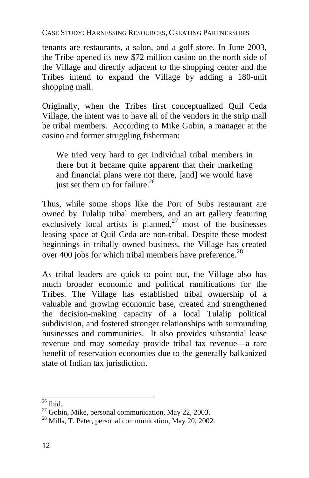tenants are restaurants, a salon, and a golf store. In J[une](#page-15-0) 2003, the Tribe opened its new \$72 million casino on the north side of the Village and directly adjacent to the shopping center and the Tribes intend to expand the Village by adding a 180-[unit](#page-15-1) shopping mall.

Originally, when the Tribes first conceptualized Quil Ceda Village, the intent was to have all of the vendors in the strip mall be tribal members. According to Mike Gobin, a manager at the casino and former struggling fisherman:

We tried very hard to get individual tribal members in there but it became quite apparent that their marketing and financial plans were not there, [and] we would have just set them up for failure. $^{26}$ 

Thus, while some shops like the Port of Subs restaurant are owned by Tulalip tribal members, and an art gallery featuring exclusively local artists is planned, $27 \text{ most of the business}$ leasing space at Quil Ceda are non-tribal. Despite these modest beginnings in tribally owned business, the Village has created over 400 jobs for which tribal members have preference.<sup>28</sup>

As tribal leaders are quick to point out, the Village also has much broader economic and political ramifications for the Tribes. The Village has established tribal ownership of a valuable and growing economic base, created and strengthened the decision-making capacity of a local Tulalip political subdivision, and fostered stronger relationships with surrounding businesses and communities. It also provides substantial lease revenue and may someday provide tribal tax revenue—a rare benefit of reservation economies due to the generally balkanized state of Indian tax jurisdiction.

<span id="page-15-0"></span> $26$  Ibid.

<span id="page-15-1"></span><sup>&</sup>lt;sup>27</sup> Gobin, Mike, personal communication, May 22, 2003.<br><sup>28</sup> Mills, T. Peter, personal communication, May 20, 2002.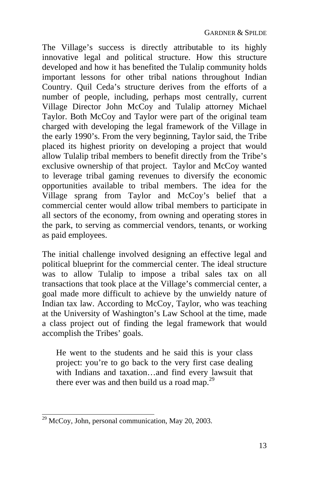The Village's success is directly attributable to its highly innovative legal and political structure. How this structure developed and how it has benefited the Tulalip community holds important lessons for other tribal nations throughout Indian Country. Quil Ceda's structure derives from the efforts of a number of people, including, perhaps most centrally, current Village Director John McCoy and Tulalip attorney Michael Taylor. Both McCoy and Taylor were part of the original team charged with developing the legal framework of the Village in the early 1990's. From the very beginning, Taylor said, the Tribe placed its highest priority on developing a project that would allow Tulalip tribal members to benefit directly from the Tribe's exclusive ownership of that project. Taylor and McCoy wanted to leverage tribal gaming revenues to diversify the economic opportunities available to tribal members. The idea for the Village sprang from Taylor and McCoy's belief that a commercial center would allow tribal members to participate in all sectors of the economy, from owning and operating stores in the park, to serving as commercial vendors, tenants, or working as paid employees.

The initial challenge involved designing an effective legal and political blueprint for the commercial center. The ideal structure was to allow Tulalip to impose a tribal sales tax on all transactions that took place at the Village's commercial center, a goal made more difficult to achieve by the unwieldy nature of Indian tax law. According to McCoy, Taylor, who was teaching at the University of Washington's Law School at the time, made a class project out of finding the legal framework that would accomplish the Tribes' goals.

He went to the students and he said this is your class project: you're to go back to the very first case dealing with Indians and taxation…and find every lawsuit that there ever was and then build us a road map.29

 $\frac{29}{20}$  McCoy, John, personal communication, May 20, 2003.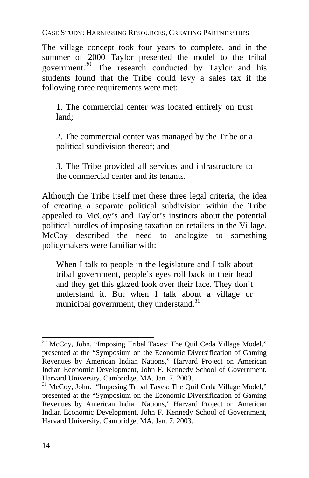The village concept took four years to complete, and in the summer of 2000 Taylor presented the model to the tribal government.<sup>30</sup> The research conducted by Taylor and his students found that the Tribe could levy a sales tax if the following three requirements were met:

1. The commercial center was located entirely on trust land;

2. The commercial center was managed by the Tribe or a political subdivision thereof; and

3. The Tribe provided all services and infrastructure to the commercial center and its tenants.

Although the Tribe itself met these three legal criteria, the idea of creating a separate political subdivision within the Tribe appealed to McCoy's and Taylor's instincts about the potential political hurdles of imposing taxation on retailers in the Village. McCoy described the need to analogize to something policymakers were familiar with:

When I talk to people in the legislature and I talk about tribal government, people's eyes roll back in their head and they get this glazed look over their face. They don't understand it. But when I talk about a village or municipal government, they understand. $31$ 

 $\overline{a}$ 

<sup>&</sup>lt;sup>30</sup> McCoy, John, "Imposing Tribal Taxes: The Quil Ceda Village Model," presented at the "Symposium on the Economic Diversification of Gaming Revenues by American Indian Nations," Harvard Project on American Indian Economic Development, John F. Kennedy School of Government,

Harvard University, Cambridge, MA, Jan. 7, 2003.<br><sup>31</sup> McCoy, John. "Imposing Tribal Taxes: The Quil Ceda Village Model," presented at the "Symposium on the Economic Diversification of Gaming Revenues by American Indian Nations," Harvard Project on American Indian Economic Development, John F. Kennedy School of Government, Harvard University, Cambridge, MA, Jan. 7, 2003.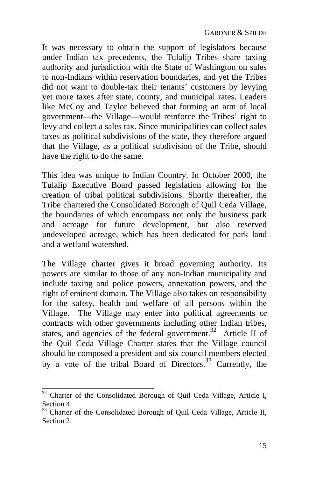It was necessary to obtain the support of legislators because under Indian tax precedents, the Tulalip Tribes share taxing authority and jurisdiction with the State of Washington on sales to non-Indians within reservation boundaries, and yet the Tribes did not want to double-tax their tenants' customers by levying yet more taxes after state, county, and municipal rates. Leaders like McCoy and Taylor believed that forming an arm of local government—the Village—would reinforce the Tribes' right to levy and collect a sales tax. Since municipalities can collect sales taxes as political subdivisions of the state, they therefore argued that the Village, as a political subdivision of the Tribe, should have the right to do the same.

This idea was unique to Indian Country. In October 2000, the Tulalip Executive Board passed legislation allowing for the creation of tribal political subdivisions. Shortly thereafter, the Tribe chartered the Consolidated Borough of Quil Ceda Village, the boundaries of which encompass not only the business park and acreage for future development, but also reserved undeveloped acreage, which has been dedicated for park land and a wetland watershed.

The Village charter gives it broad governing authority. Its powers are similar to those of any non-Indian municipality and include taxing and police powers, annexation powers, and the right of eminent domain. The Village also takes on responsibility for the safety, health and welfare of all persons within the Village. The Village may enter into political agreements or contracts with other governments including other Indian tribes, states, and agencies of the federal government.<sup>32</sup> Article II of the Quil Ceda Village Charter states that the Village council should be composed a president and six council members elected by a vote of the tribal Board of Directors.<sup>33</sup> Currently, the

<sup>&</sup>lt;sup>32</sup> Charter of the Consolidated Borough of Quil Ceda Village, Article I, Section 4.

<sup>&</sup>lt;sup>33</sup> Charter of the Consolidated Borough of Quil Ceda Village, Article II, Section 2.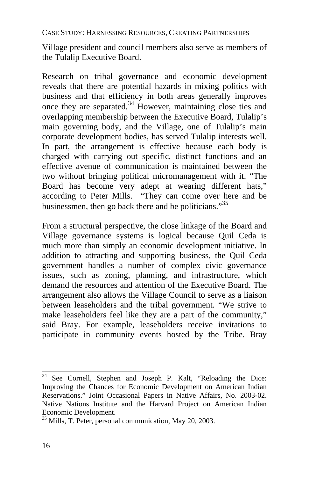Village president and council members also serve as members of the Tulalip Executive Board.

Research on tribal governance and economic development reveals that there are potential hazards in mixing politics with business and that efficiency in both areas generally improves once they are separated.34 However, maintaining close ties and overlapping membership between the Executive Board, Tulalip's main governing body, and the Village, one of Tulalip's main corporate development bodies, has served Tulalip interests well. In part, the arrangement is effective because each body is charged with carrying out specific, distinct functions and an effective avenue of communication is maintained between the two without bringing political micromanagement with it. "The Board has become very adept at wearing different hats," according to Peter Mills. "They can come over here and be businessmen, then go back there and be politicians."<sup>35</sup>

From a structural perspective, the close linkage of the Board and Village governance systems is logical because Quil Ceda is much more than simply an economic development initiative. In addition to attracting and supporting business, the Quil Ceda government handles a number of complex civic governance issues, such as zoning, planning, and infrastructure, which demand the resources and attention of the Executive Board. The arrangement also allows the Village Council to serve as a liaison between leaseholders and the tribal government. "We strive to make leaseholders feel like they are a part of the community," said Bray. For example, leaseholders receive invitations to participate in community events hosted by the Tribe. Bray

 $34$  See Cornell, Stephen and Joseph P. Kalt, "Reloading the Dice: Improving the Chances for Economic Development on American Indian Reservations." Joint Occasional Papers in Native Affairs, No. 2003-02. Native Nations Institute and the Harvard Project on American Indian Economic Development.

 $^{35}$  Mills, T. Peter, personal communication, May 20, 2003.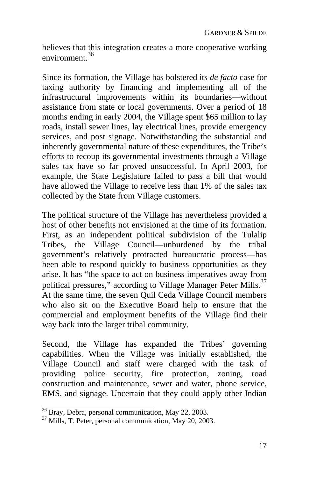believes that this integration creates a more cooperative working environment.<sup>36</sup>

Since its formation, the Village has bolstered its *de facto* case for taxing authority by financing and implementing all of the infrastructural improvements within its boundaries—without assistance from state or local governments. Over a period of 18 months ending in early 2004, the Village spent \$65 million to lay roads, install sewer lines, lay electrical lines, provide emergency services, and post signage. Notwithstanding the substantial and inherently governmental nature of these expenditures, the Tribe's efforts to recoup its governmental investments through a Village sales tax have so far proved unsuccessful. In April 2003, for example, the State Legislature failed to pass a bill that would have allowed the Village to receive less than 1% of the sales tax collected by the State from Village customers.

The political structure of the Village has nevertheless provided a host of other benefits not envisioned at the time of its formation. First, as an independent political subdivision of the Tulalip Tribes, the Village Council—unburdened by the tribal government's relatively protracted bureaucratic process—has been able to respond quickly to business opportunities as they arise. It has "the space to act on business imperatives away from political pressures," according to Village Manager Peter Mills.<sup>37</sup> At the same time, the seven Quil Ceda Village Council members who also sit on the Executive Board help to ensure that the commercial and employment benefits of the Village find their way back into the larger tribal community.

Second, the Village has expanded the Tribes' governing capabilities. When the Village was initially established, the Village Council and staff were charged with the task of providing police security, fire protection, zoning, road construction and maintenance, sewer and water, phone service, EMS, and signage. Uncertain that they could apply other Indian

 $\frac{36}{37}$  Bray, Debra, personal communication, May 22, 2003.<br> $\frac{37}{37}$  Mills, T. Peter, personal communication, May 20, 2003.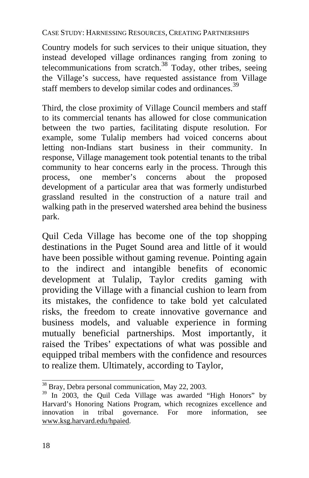Country models for such services to their unique situation, they instead developed village ordinances ranging from zoning to telecommunications from scratch.<sup>38</sup> Today, other tribes, seeing the Village's success, have requested assistance from Village staff members to develop similar codes and ordinances.<sup>39</sup>

Third, the close proximity of Village Council members and staff to its commercial tenants has allowed for close communication between the two parties, facilitating dispute resolution. For example, some Tulalip members had voiced concerns about letting non-Indians start business in their community. In response, Village management took potential tenants to the tribal community to hear concerns early in the process. Through this process, one member's concerns about the proposed development of a particular area that was formerly undisturbed grassland resulted in the construction of a nature trail and walking path in the preserved watershed area behind the business park.

Quil Ceda Village has become one of the top shopping destinations in the Puget Sound area and little of it would have been possible without gaming revenue. Pointing again to the indirect and intangible benefits of economic development at Tulalip, Taylor credits gaming with providing the Village with a financial cushion to learn from its mistakes, the confidence to take bold yet calculated risks, the freedom to create innovative governance and business models, and valuable experience in forming mutually beneficial partnerships. Most importantly, it raised the Tribes' expectations of what was possible and equipped tribal members with the confidence and resources to realize them. Ultimately, according to Taylor,

<sup>&</sup>lt;sup>38</sup> Bray, Debra personal communication, May 22, 2003.

<sup>&</sup>lt;sup>39</sup> In 2003, the Quil Ceda Village was awarded "High Honors" by Harvard's Honoring Nations Program, which recognizes excellence and innovation in tribal governance. For more information, see www.ksg.harvard.edu/hpaied.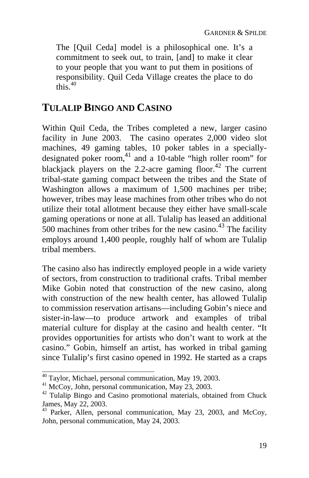The [Quil Ceda] model is a philosophical one. It's a commitment to seek out, to train, [and] to make it clear to your people that you want to put them in positions of responsibility. Quil Ceda Village creates the place to do this  $40$ 

## **TULALIP BINGO AND CASINO**

Within Quil Ceda, the Tribes completed a new, larger casino facility in June 2003. The casino operates 2,000 video slot machines, 49 gaming tables, 10 poker tables in a speciallydesignated poker room, 41 and a 10-table "high roller room" for blackjack players on the 2.2-acre gaming floor.<sup>42</sup> The current tribal-state gaming compact between the tribes and the State of Washington allows a maximum of 1,500 machines per tribe; however, tribes may lease machines from other tribes who do not utilize their total allotment because they either have small-scale gaming operations or none at all. Tulalip has leased an additional 500 machines from other tribes for the new casino.<sup>43</sup> The facility employs around 1,400 people, roughly half of whom are Tulalip tribal members.

The casino also has indirectly employed people in a wide variety of sectors, from construction to traditional crafts. Tribal member Mike Gobin noted that construction of the new casino, along with construction of the new health center, has allowed Tulalip to commission reservation artisans—including Gobin's niece and sister-in-law—to produce artwork and examples of tribal material culture for display at the casino and health center. "It provides opportunities for artists who don't want to work at the casino." Gobin, himself an artist, has worked in tribal gaming since Tulalip's first casino opened in 1992. He started as a craps

<sup>&</sup>lt;sup>40</sup> Taylor, Michael, personal communication, May 19, 2003.

<sup>&</sup>lt;sup>41</sup> McCoy, John, personal communication, May 23, 2003.<br><sup>42</sup> Tulalip Bingo and Casino promotional materials, obtained from Chuck

James, May 22, 2003. 43 Parker, Allen, personal communication, May 23, 2003, and McCoy, John, personal communication, May 24, 2003.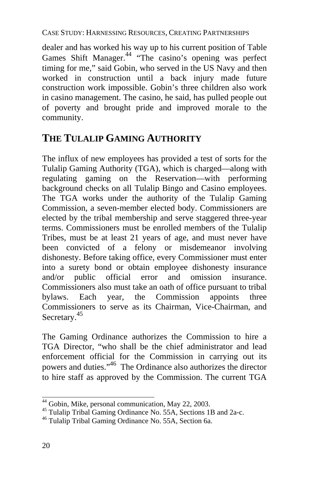dealer and has worked his way up to his current position of Table Games Shift Manager.<sup>44</sup> "The casino's opening was perfect timing for me," said Gobin, who served in the US Navy and then worked in construction until a back injury made future construction work impossible. Gobin's three children also work in casino management. The casino, he said, has pulled people out of poverty and brought pride and improved morale to the community.

## **THE TULALIP GAMING AUTHORITY**

The influx of new employees has provided a test of sorts for the Tulalip Gaming Authority (TGA), which is charged—along with regulating gaming on the [Rese](#page-23-0)rvation—with performing background checks on all Tulalip Bingo and Casino employees. The TGA works under the authority of the Tulalip Gaming Commission, a seven-member elected body. Commissioners are elected by the tribal membership and serve staggered three-year terms. Commissioners must be enrolled m[emb](#page-23-1)ers of the Tulalip Tribes, must be at least 21 years of age, and must never have been convicted of a felony or misdemeanor involving dishonesty. Before taking office, every Commissioner must enter into a surety bond or obtain employee dishonesty insurance and/or public official error and omission insurance. Commissioners also must take an oath of office pursuant to tribal bylaws. Each year, the Commission appoints three Commissioners to serve as its Chairman, Vice-Chairman, and Secretary.<sup>45</sup>

The Gaming Ordinance authorizes the Commission to hire a TGA Director, "who shall be the chief administrator and lead enforcement official for the Commission in carrying out its powers and duties."46 The Ordinance also authorizes the director to hire staff as approved by the Commission. The current TGA

<sup>&</sup>lt;sup>44</sup> Gobin, Mike, personal communication, May 22, 2003.

<span id="page-23-0"></span><sup>&</sup>lt;sup>45</sup> Tulalip Tribal Gaming Ordinance No. 55A, Sections 1B and 2a-c.  $46$  Tulalip Tribal Gaming Ordinance No. 55A, Section 6a.

<span id="page-23-1"></span>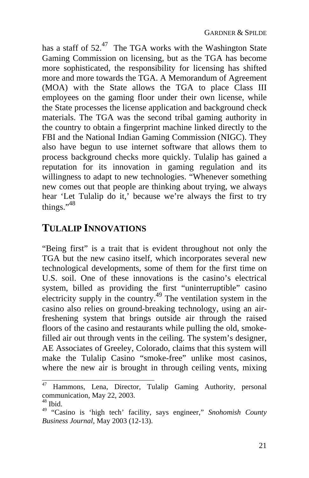has a staff of  $52<sup>47</sup>$  The TGA works with the Washington State Gaming Commission on licensing, but as the TGA has become more sophisticated, the respon[sibi](#page-24-0)lity for licensing has shifted more and more towards the TGA. A Memorandum of Agreement (MOA) with the State allows the TGA to place Class III employees on the gaming floor under their own license, while the State processes the license application and background check materials. The TGA was the second tribal gaming authority in the country to obtain a fingerprint machine linked directly to the FBI and the National Indian Gaming Commission (NIGC). They also have begun to use internet software that allows them to process background checks more quickly. Tulalip has [gain](#page-24-1)ed a reputation for its innovation in gaming regulation and its willingness to adapt to new technologies. "Whenever something new comes out that people are thinking about trying, we always hear 'Let Tulalip do it,' because we're always the first to try things." $48$ 

## **TULALIP INNOVATIONS**

"Being first" is a trait that is evident throughout not only the TGA but the new casino itself, which incorporates several new technological developments, some of them for the first time on U.S. soil. One of these innovations is the casino's electrical system, billed as providing the first "uninterruptible" casino electricity supply in the country.<sup>49</sup> The ventilation system in the casino also relies on ground-breaking technology, using an airfreshening system that brings outside air through the raised floors of the casino and restaurants while pulling the old, smokefilled air out through vents in the ceiling. The system's designer, AE Associates of Greeley, Colorado, claims that this system will make the Tulalip Casino "smoke-free" unlike most casinos, where the new air is brought in through ceiling vents, mixing

<sup>47</sup> Hammons, Lena, Director, Tulalip Gaming Authority, personal communication, May 22, 2003.<br><sup>48</sup> Ibid.

<span id="page-24-0"></span>

<span id="page-24-1"></span><sup>49 &</sup>quot;Casino is 'high tech' facility, says engineer," *Snohomish County Business Journal*, May 2003 (12-13).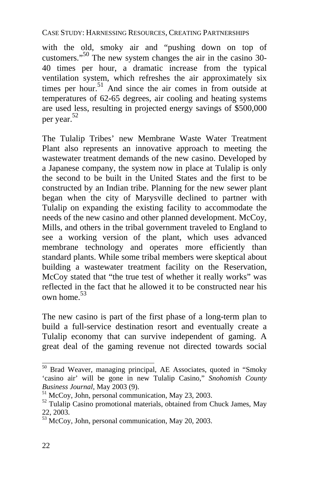with the old, smoky air and "pushing down on top of customers." <sup>50</sup> The new system changes the air in the casino 30- 40 times per hour, a dramatic increase from the typical ventilation system, which refreshes the air approximately six times per hour.<sup>51</sup> And since the air comes in from outside at temperatures of 62-65 degrees, air cooling and heating systems are used less, resulting in projected energy savings of \$500,000 per year. 52

The Tulalip Tribes' new Membrane Waste Water Treatment Plant also represents an innovative approach to meeting the wastewater treatment demands of t[he](#page-25-0) new casino. Developed by a Japanese company, the system now in place at Tulalip is only the second to be built in the United States and the first to be constructed by an Indian tribe. Planning for the new sewer plant began when the city of Marysville declined to partner with Tulalip on expanding the existing facility to accommodate the needs of the new casino and other planned development. McCoy, Mills, and others in the tribal government traveled to England to see a working version of the plant, which uses advanced membrane technology and operates more efficiently than standard plants. While some tribal members were skeptical about building a wastewater treatment facility on the Reservation, McCoy stated that "the true test of whether it really works" was reflected in the fact that he allowed it to be constructed near his own home. 53

The new casino is part of the first phase of a long-term plan to build a full-service destination resort and eventually create a Tulalip economy that can survive independent of gaming. A great deal of the gaming revenue not directed towards social

 $50$  Brad Weaver, managing principal, AE Associates, quoted in "Smoky" 'casino air' will be gone in new Tulalip Casino," *Snohomish County*

<sup>&</sup>lt;sup>51</sup> McCoy, John, personal communication, May 23, 2003.<br><sup>52</sup> Tulalip Casino promotional materials, obtained from Chuck James, May 22, 2003.

<span id="page-25-0"></span><sup>53</sup> McCoy, John, personal communication, May 20, 2003.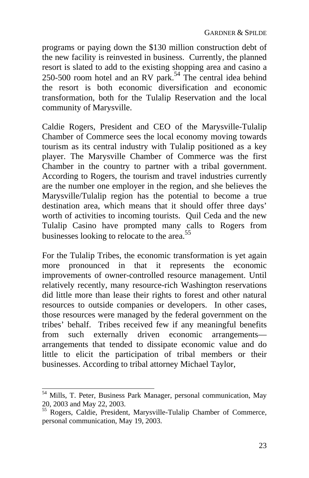programs or paying down the \$130 million construction debt of the new facility is reinvested in business. Currently, the planned resort is slated to add to the existing shopping area and casino a 250-500 room hotel and an RV park.<sup>54</sup> The central idea behind the resort is both economic diversification and economic transformation, both for the Tulalip Reservation and the local community of Marysville.

Caldie Rogers, President and CEO of the Marysville-Tulalip Chamber of Commerce sees the local economy moving towards tourism as its central industry with Tulalip positioned as a key player. The Marysville Chamber of Commerce was the first Chamber in the country to partner with a tribal government. According to Rogers, the tourism and travel industries currently are the number one employer in the region, and she believes the Marysville/Tulalip region has the potential to become a true destination area, which means that it should offer three days' worth of activities to incoming tourists. Quil Ceda and the new Tulalip Casino have prompted many calls to Rogers from businesses looking to relocate to the area.<sup>55</sup>

For the Tulalip Tribes, the economic transformation is yet again more pronounced in that it represents the economic improvements of owner-controlled resource management. Until relatively recently, many resource-rich Washington reservations did little more than lease their rights to forest and other natural resources to outside companies or developers. In other cases, those resources were managed by the federal government on the tribes' behalf. Tribes received few if any meaningful benefits from such externally driven economic arrangements arrangements that tended to dissipate economic value and do little to elicit the participation of tribal members or their businesses. According to tribal attorney Michael Taylor,

 54 Mills, T. Peter, Business Park Manager, personal communication, May 20, 2003 and May 22, 2003. 55 Rogers, Caldie, President, Marysville-Tulalip Chamber of Commerce,

personal communication, May 19, 2003.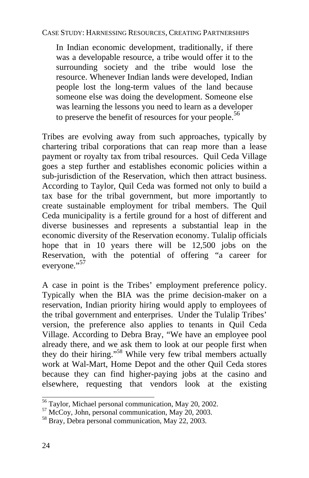In Indian economic development, traditionally, if there was a developable resource, a tribe would offer it to the surrounding society and the tribe would lose the resource. Whenever Indian lands were developed, Indian people lost the long-term values of the land because someone else was doing the development. Someone else was learning the lessons you need to learn as a developer to preserve the benefit of resou[rce](#page-27-0)s for your people.<sup>56</sup>

Tribes are evolving away from such approaches, typically by chartering tribal corporations that can reap more than a lease payment or royalty tax from tribal resources. Quil Ceda Village goes a step further and establishes economic policies within a sub-jurisdiction of the Reservation, which then attract business. According to Taylor, Quil Ceda was formed not only to build a tax base for the tribal government, but more importantly to create sustainable employment for tribal members. The Quil Ceda municipality is a fertile ground for a h[ost](#page-27-1) of different and diverse businesses and represents a substantial leap in the economic diversity of the Reservation economy. Tulalip officials hope that in 10 years there will be 12,500 jobs on the Reservation, with the potential of offering "a career for everyone."<sup>57</sup>

A case in point is the Tribes' employment preference policy. Typically when the BIA was the prime decision-maker on a reservation, Indian priority hiring would apply to employees of the tribal government and enterprises. Under the Tulalip Tribes' version, the preference also applies to tenants in Quil Ceda Village. According to Debra Bray, "We have an employee pool already there, and we ask them to look at our people first when they do their hiring."58 While very few tribal members actually work at Wal-Mart, Home Depot and the other Quil Ceda stores because they can find higher-paying jobs at the casino and elsewhere, requesting that vendors look at the existing

<sup>&</sup>lt;sup>56</sup> Taylor, Michael personal communication, May 20, 2002.

<span id="page-27-0"></span> $57$  McCoy, John, personal communication, May 20, 2003.  $58$  Bray, Debra personal communication, May 22, 2003.

<span id="page-27-1"></span>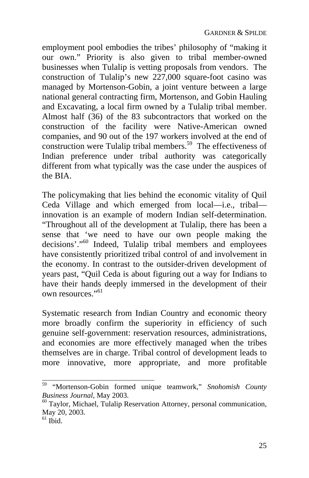employment pool embodies the tribes' philosophy of "making it our own." Priority is also given to tribal member-owned businesses when Tulalip is vetting proposals from vendors. The construction of Tulalip's new  $227,000$  square-foot casino was managed by Mortenson-Gobin, a joint venture between a large national general contracting firm, Mortenson, and Gobin Hauling and Excavating, a local firm owned [by](#page-28-0) a Tulalip tribal member. Almost half (36) of the 83 subcontractors that worked on the construction of the facility were Native-American owned companies, and 90 out of the 197 workers involved at the end of construction were Tulalip tribal members.<sup>59</sup> The effectiveness of Indian preference under tribal auth[orit](#page-28-1)y was categorically different from what typically was the case under the auspices of the BIA.

The policymaking that lies behind the economic vitality of Quil Ceda Village and which emerged from local—i.e., tribal innovation is an example of modern Indian self-determination. "Throughout all of the development at Tulalip, there has been a sense that 'we need to have our own people making the decisions'." 60 Indeed, Tulalip tribal members and employees have consistently prioritized tribal control of and involvement in the economy. In contrast to the outsider-driven development of years past, "Quil Ceda is about figuring out a way for Indians to have their hands deeply immersed in the development of their own resources."<sup>61</sup>

Systematic research from Indian Country and economic theory more broadly confirm the superiority in efficiency of such genuine self-government: reservation resources, administrations, and economies are more effectively managed when the tribes themselves are in charge. Tribal control of development leads to more innovative, more appropriate, and more profitable

<sup>59</sup> 59 "Mortenson-Gobin formed unique teamwork," *Snohomish County* 

<span id="page-28-0"></span><sup>&</sup>lt;sup>60</sup> Taylor, Michael, Tulalip Reservation Attorney, personal communication, May 20, 2003.<br><sup>61</sup> Ibid.

<span id="page-28-1"></span>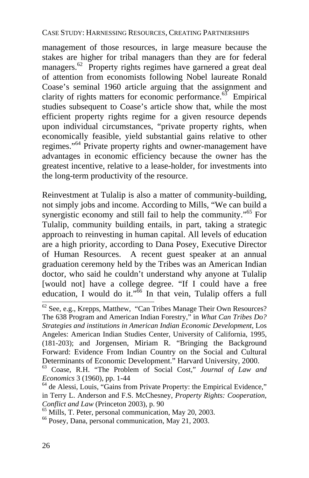management of those resources, in large measure because the stakes are higher for tribal managers than they are for federal managers.<sup>62</sup> Property rights regimes have garnered a great deal of attention from economists following Nobel laureate Ronald Coase's seminal 1960 article arguing that the assignment and clarity of rights matters for economic performance.<sup>63</sup> Empirical studies subsequent to Coase's article show that, while the most efficient property rights regime for a given resource depends upon individual circumstances, "private property rights, when economically feasible, yield substantial gains relative to other regimes."<sup>64</sup> Private property rights and owner-management have advantages in economic efficiency because the o[wn](#page-29-0)er has the greatest incentive, relative to a lease-holder, for investments into the long-term productivity of the resource.

Reinvestment at Tulalip is also a matter of community-building, not simply jobs and income. According to Mills, "We can build a synergistic economy and still fail to help the community."<sup>65</sup> For Tulalip, community building entails, in part, taking a strategic approach to reinvesting in human capital. All levels of education are a high priority, according to Dana Posey, Executive Director of Human Resources. A recent guest speaker at an annual graduation ceremony held by the Tribes was an American Indian doctor, who said he couldn't understand why anyone at Tulalip [would not] have a college degree. "If I could have a free education, I would do it."<sup>66</sup> In that vein, Tulalip offers a full

 $62$  See, e.g., Krepps, Matthew, "Can Tribes Manage Their Own Resources? The 638 Program and American Indian Forestry," in *What Can Tribes Do? Strategies and institutions in American Indian Economic Development*, Los Angeles: American Indian Studies Center, University of California, 1995, (181-203); and Jorgensen, Miriam R. "Bringing the Background Forward: Evidence From Indian Country on the Social and Cultural Determinants of Economic Development." Harvard University, 2000. 63 Coase, R.H. "The Problem of Social Cost," *Journal of Law and*

*Economics* 3 (1960), pp. 1-44<br><sup>64</sup> de Alessi, Louis, "Gains from Private Property: the Empirical Evidence,"

in Terry L. Anderson and F.S. McChesney, *Property Rights: Cooperation, Conflict and Law* (Princeton 2003), p. 90<br><sup>65</sup> Mills, T. Peter, personal communication, May 20, 2003.<br><sup>66</sup> Posey, Dana, personal communication, May 21, 2003.

<span id="page-29-0"></span>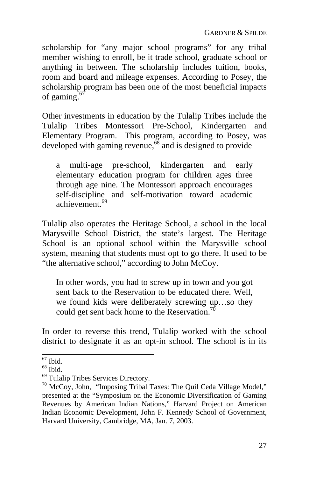scholarship for "any major school programs" for any tribal member wishing to enroll, be it trade sc[hoo](#page-30-0)l, graduate school or anything in between. The scholarship includes tuition, books, room and board and mileage expenses. According to Posey, the scholarship program has been one of the most beneficial impacts of gaming. $6$ 

Other investments in education by the Tulalip Tribes include the Tulalip Tribes Montessori Pre-School, Kindergarten and Elementary Program. This program, according to Posey, was developed with gaming revenue,<sup>68</sup> and is designed to provide

a multi-age pre-school, kindergarten and early elementary education program for children ages three through age nine. The Montessori approach encourages self-discipline and self-motivation toward academic achievement<sup>69</sup>

Tulalip also operates the Heritage School, a school in the local Marysville School District, the state's largest. The Heritage School is an optional school within the Marysville school system, meaning that students must opt to go there. It used to be "the alternative school," according to John McCoy.

In other words, you had to screw up in town and you got sent back to the Reservation to be educated there. Well, we found kids were deliberately screwing up…so they could get sent back home to the Reservation.<sup>70</sup>

In order to reverse this trend, Tulalip worked with the school district to designate it as an opt-in school. The school is in its

 $67$  Ibid.

<span id="page-30-0"></span>

 $^{68}$  Ibid.<br> $^{69}$  Tulalip Tribes Services Directory.

 $\frac{70}{10}$  McCoy, John, "Imposing Tribal Taxes: The Quil Ceda Village Model," presented at the "Symposium on the Economic Diversification of Gaming Revenues by American Indian Nations," Harvard Project on American Indian Economic Development, John F. Kennedy School of Government, Harvard University, Cambridge, MA, Jan. 7, 2003.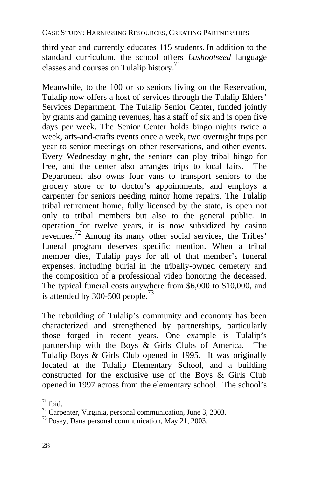third year and currently educates 115 students. In addition to the standard curriculum, the school offers *Lushootseed* language classes and courses on Tulalip history.<sup>71</sup>

Meanwhile, to the 100 or so seniors living on the Reservation, Tulalip now offers a host of servi[ces](#page-31-0) through the Tulalip Elders' Services Department. The Tulalip Senior Center, funded jointly by grants and gaming revenues, has a staff of six and is open five days per week. The Senior Center holds bingo nights twice a week, arts-and-crafts events once a week, two overnight trips per year to senior meetings on other reservations, and other events. Every Wednesday night, the seniors can play tribal [bin](#page-31-1)go for free, and the center also arranges trips to local fairs. The Department also owns four vans to transport seniors to the grocery store or to doctor's appointments, and employs a carpenter for seniors needing minor home repairs. The Tulalip tribal retirement home, fully licensed by the state, is open not only to tribal members but also to the general public. In operation for twelve years, it is now subsidized by casino revenues. 72 Among its many other social services, the Tribes' funeral program deserves specific mention. When a tribal member dies, Tulalip pays for all of that member's funeral expenses, including burial in the tribally-owned cemetery and the composition of a professional video honoring the deceased. The typical funeral costs anywhere from \$6,000 to \$10,000, and is attended by 300-500 people. $^{73}$ 

The rebuilding of Tulalip's community and economy has been characterized and strengthened by partnerships, particularly those forged in recent years. One example is Tulalip's partnership with the Boys & Girls Clubs of America. The Tulalip Boys & Girls Club opened in 1995. It was originally located at the Tulalip Elementary School, and a building constructed for the exclusive use of the Boys & Girls Club opened in 1997 across from the elementary school. The school's

 $\frac{1}{71}$  Ibid.

<span id="page-31-0"></span><sup>&</sup>lt;sup>72</sup> Carpenter, Virginia, personal communication, June 3, 2003. <sup>73</sup> Posey, Dana personal communication, May 21, 2003.

<span id="page-31-1"></span>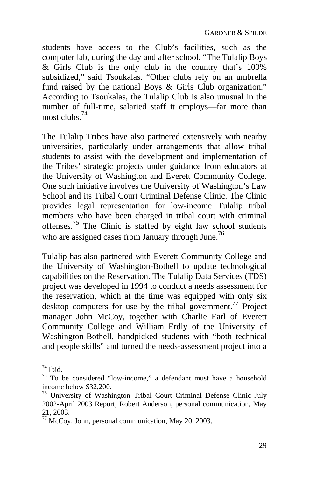students have access to the Club's facilities, such as the computer lab, during the day and after school. "The Tulalip Boys & Girls Club is the only club in the country that's 100% subsidized," said Tsoukalas. "Other clubs rely on an umbrella fund raised by the national Bo[ys &](#page-32-0) Girls Club organization." According to Tsoukalas, the Tulalip Club is also unusual in the number of full-time, salaried staff it employs—far more than most clubs  $^{74}$ 

The Tulalip Tribes have also partnered extensively with nearby universities, particularly under arrangements that allow tribal students to assist with the development and implementation of the Tribes' strategic projects under guidance from educators at the University of Washington and Everett Community College. One such initiative involves the University of Washington's Law School and its Tribal Court Criminal Defense Clinic. The Clinic provides legal representation for low-income Tulalip tribal members who have been charged in tribal court with criminal offenses.75 The Clinic is staffed by eight law school students who are assigned cases from January through June.<sup>76</sup>

Tulalip has also partnered with Everett Community College and the University of Washington-Bothell to update technological capabilities on the Reservation. The Tulalip Data Services (TDS) project was developed in 1994 to conduct a needs assessment for the reservation, which at the time was equipped with only six desktop computers for use by the tribal government.<sup>77</sup> Project manager John McCoy, together with Charlie Earl of Everett Community College and William Erdly of the University of Washington-Bothell, handpicked students with "both technical and people skills" and turned the needs-assessment project into a

 $74$  Ibid.

<span id="page-32-0"></span> $75$  To be considered "low-income," a defendant must have a household income below \$32,200.<br><sup>76</sup> University of Washington Tribal Court Criminal Defense Clinic July

<sup>2002-</sup>April 2003 Report; Robert Anderson, personal communication, May 21, 2003.

 $77$  McCoy, John, personal communication, May 20, 2003.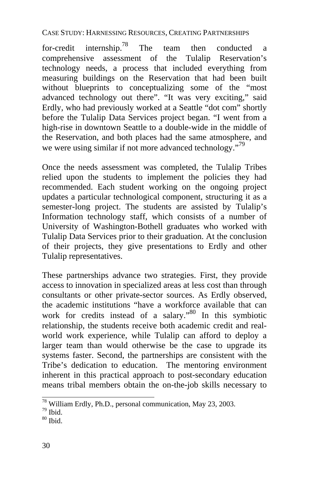for-credit internship.<sup>78</sup> The team then conducted a comprehensive assessment of the Tulalip Reservation's technology needs, a process that included everything from measuring buildings on the Reservation that had been built without blueprints to conceptualizing some of the "most advanced technology out there". "It was very exciting," said Erdly, who had previously worked at a Seattle "dot com" shortly before the Tulalip Data Services project began. "I went from a high-rise in downtown Seattle to a double-wide in the middle of the Reservation, and both places had the same atmosphere, and we were using similar if not more advanced technology."<sup>79</sup>

Once the needs assessment was completed, the Tulalip Tribes relied upon the students to implement the policies they had recommended. Each student working on the ongoing project updates a particular technological component, structuring it as a semester-long project. The students are assisted by Tulalip's Information technology staff, which consists of a number of University of Washington-Bothell graduates who worked with Tulalip Data Services prior to their graduation. At the conclusion of their projects, they give presentations to Erdly and other Tulalip representatives.

These partnerships advance two strategies. First, they provide access to innovation in specialized areas at less cost than through consultants or other private-sector sources. As Erdly observed, the academic institutions "have a workforce available that can work for credits instead of a salary.<sup>80</sup> In this symbiotic relationship, the students receive both academic credit and realworld work experience, while Tulalip can afford to deploy a larger team than would otherwise be the case to upgrade its systems faster. Second, the partnerships are consistent with the Tribe's dedication to education. The mentoring environment inherent in this practical approach to post-secondary education means tribal members obtain the on-the-job skills necessary to

 $\frac{78}{79}$  William Erdly, Ph.D., personal communication, May 23, 2003.

 $80$  Ibid.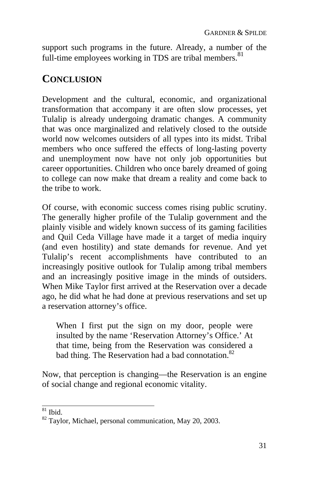support such programs in the future. Already, a number of the full-time employees working in TDS are tribal members.<sup>81</sup>

## **CONCLUSION**

Development and the cultural, economic, and organizational transformation that accompany it are often slow processes, yet Tulalip is already undergoing dramatic changes. A community that was once marginalized and relatively closed to the outside world now welcomes outsiders of all types into its midst. Tribal members who once suffered the effects of long-lasting poverty and unemployment now have not only job opportunities but career opportunities. Children who once barely dreamed of going to college can now make that dream a reality and come back to the tribe to work.

Of course, with economic success comes rising public scrutiny. The generally higher profile of the Tulalip government and the plainly visible and widely known success of its gaming facilities and Quil Ceda Village have made it a target of media inquiry (and even hostility) and state demands for revenue. And yet Tulalip's recent accomplishments have contributed to an increasingly positive outlook for Tulalip among tribal members and an increasingly positive image in the minds of outsiders. When Mike Taylor first arrived at the Reservation over a decade ago, he did what he had done at previous reservations and set up a reservation attorney's office.

When I first put the sign on my door, people were insulted by the name 'Reservation Attorney's Office.' At that time, being from the Reservation was considered a bad thing. The Reservation had a bad connotation.<sup>82</sup>

Now, that perception is changing—the Reservation is an engine of social change and regional economic vitality.

 $81$  Ibid.

<sup>&</sup>lt;sup>82</sup> Taylor, Michael, personal communication, May 20, 2003.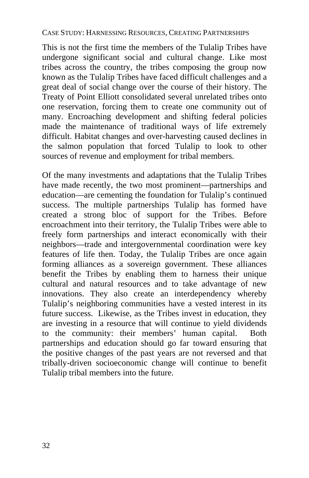This is not the first time the members of the Tulalip Tribes have undergone significant social and cultural change. Like most tribes across the country, the tribes composing the group now known as the Tulalip Tribes have faced difficult challenges and a great deal of social change over the course of their history. The Treaty of Point Elliott consolidated several unrelated tribes onto one reservation, forcing them to create one community out of many. Encroaching development and shifting federal policies made the maintenance of traditional ways of life extremely difficult. Habitat changes and over-harvesting caused declines in the salmon population that forced Tulalip to look to other sources of revenue and employment for tribal members.

Of the many investments and adaptations that the Tulalip Tribes have made recently, the two most prominent—partnerships and education—are cementing the foundation for Tulalip's continued success. The multiple partnerships Tulalip has formed have created a strong bloc of support for the Tribes. Before encroachment into their territory, the Tulalip Tribes were able to freely form partnerships and interact economically with their neighbors—trade and intergovernmental coordination were key features of life then. Today, the Tulalip Tribes are once again forming alliances as a sovereign government. These alliances benefit the Tribes by enabling them to harness their unique cultural and natural resources and to take advantage of new innovations. They also create an interdependency whereby Tulalip's neighboring communities have a vested interest in its future success. Likewise, as the Tribes invest in education, they are investing in a resource that will continue to yield dividends to the community: their members' human capital. Both partnerships and education should go far toward ensuring that the positive changes of the past years are not reversed and that tribally-driven socioeconomic change will continue to benefit Tulalip tribal members into the future.